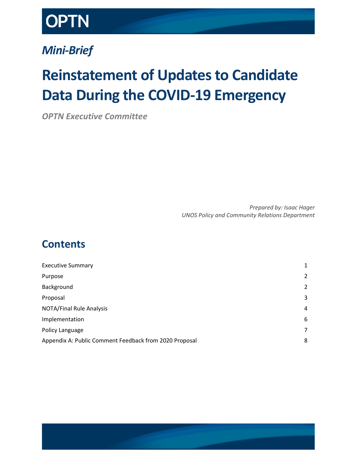

## *Mini-Brief*

# **Reinstatement of Updates to Candidate Data During the COVID-19 Emergency**

*OPTN Executive Committee*

*Prepared by: Isaac Hager UNOS Policy and Community Relations Department*

## **Contents**

| <b>Executive Summary</b>                               | 1 |
|--------------------------------------------------------|---|
| Purpose                                                | 2 |
| Background                                             | 2 |
| Proposal                                               | 3 |
| <b>NOTA/Final Rule Analysis</b>                        | 4 |
| Implementation                                         | 6 |
| Policy Language                                        | 7 |
| Appendix A: Public Comment Feedback from 2020 Proposal |   |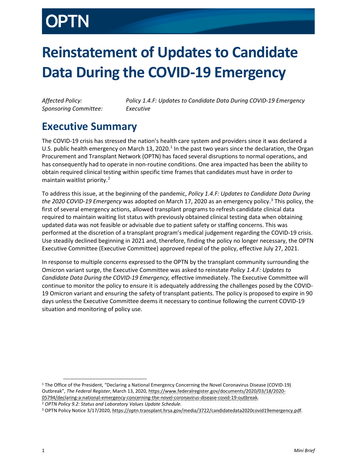# **Reinstatement of Updates to Candidate Data During the COVID-19 Emergency**

*Sponsoring Committee: Executive*

*Affected Policy: Policy 1.4.F: Updates to Candidate Data During COVID-19 Emergency*

## <span id="page-1-0"></span>**Executive Summary**

The COVID-19 crisis has stressed the nation's health care system and providers since it was declared a U.S. public health emergency on March [1](#page-1-1)3, 2020.<sup>1</sup> In the past two years since the declaration, the Organ Procurement and Transplant Network (OPTN) has faced several disruptions to normal operations, and has consequently had to operate in non-routine conditions. One area impacted has been the ability to obtain required clinical testing within specific time frames that candidates must have in order to maintain waitlist priority. [2](#page-1-2)

To address this issue, at the beginning of the pandemic, *Policy 1.4.F: Updates to Candidate Data During the 2020 COVID-19 Emergency* was adopted on March 17, 2020 as an emergency policy. [3](#page-1-3) This policy, the first of several emergency actions, allowed transplant programs to refresh candidate clinical data required to maintain waiting list status with previously obtained clinical testing data when obtaining updated data was not feasible or advisable due to patient safety or staffing concerns. This was performed at the discretion of a transplant program's medical judgement regarding the COVID-19 crisis. Use steadily declined beginning in 2021 and, therefore, finding the policy no longer necessary, the OPTN Executive Committee (Executive Committee) approved repeal of the policy, effective July 27, 2021.

In response to multiple concerns expressed to the OPTN by the transplant community surrounding the Omicron variant surge, the Executive Committee was asked to reinstate *Policy 1.4.F: Updates to Candidate Data During the COVID-19 Emergency,* effective immediately. The Executive Committee will continue to monitor the policy to ensure it is adequately addressing the challenges posed by the COVID-19 Omicron variant and ensuring the safety of transplant patients. The policy is proposed to expire in 90 days unless the Executive Committee deems it necessary to continue following the current COVID-19 situation and monitoring of policy use.

<span id="page-1-1"></span><sup>1</sup> The Office of the President, "Declaring a National Emergency Concerning the Novel Coronavirus Disease (COVID-19) Outbreak", *The Federal Register*, March 13, 2020[, https://www.federalregister.gov/documents/2020/03/18/2020-](https://www.federalregister.gov/documents/2020/03/18/2020-05794/declaring-a-national-emergency-concerning-the-novel-coronavirus-disease-covid-19-outbreak) [05794/declaring-a-national-emergency-concerning-the-novel-coronavirus-disease-covid-19-outbreak.](https://www.federalregister.gov/documents/2020/03/18/2020-05794/declaring-a-national-emergency-concerning-the-novel-coronavirus-disease-covid-19-outbreak) <sup>2</sup> *OPTN Policy 9.2: Status and Laboratory Values Update Schedule.*

j

<span id="page-1-3"></span><span id="page-1-2"></span><sup>&</sup>lt;sup>3</sup> OPTN Policy Notice 3/17/2020[, https://optn.transplant.hrsa.gov/media/3722/candidatedata2020covid19emergency.pdf.](https://optn.transplant.hrsa.gov/media/3722/candidatedata2020covid19emergency.pdf)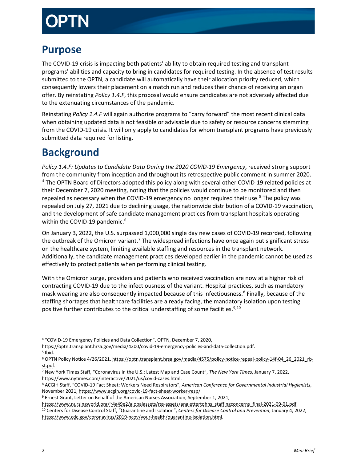## <span id="page-2-0"></span>**Purpose**

The COVID-19 crisis is impacting both patients' ability to obtain required testing and transplant programs' abilities and capacity to bring in candidates for required testing. In the absence of test results submitted to the OPTN, a candidate will automatically have their allocation priority reduced, which consequently lowers their placement on a match run and reduces their chance of receiving an organ offer. By reinstating *Policy 1.4.F*, this proposal would ensure candidates are not adversely affected due to the extenuating circumstances of the pandemic.

Reinstating *Policy 1.4.F* will again authorize programs to "carry forward" the most recent clinical data when obtaining updated data is not feasible or advisable due to safety or resource concerns stemming from the COVID-19 crisis. It will only apply to candidates for whom transplant programs have previously submitted data required for listing.

## <span id="page-2-1"></span>**Background**

*Policy 1.4.F: Updates to Candidate Data During the 2020 COVID-19 Emergency*, received strong support from the community from inception and throughout its retrospective public comment in summer 2020. [4](#page-2-2) The OPTN Board of Directors adopted this policy along with several other COVID-19 related policies at their December 7, 2020 meeting, noting that the policies would continue to be monitored and then repealed as necessary when the COVID-19 emergency no longer required their use.<sup>[5](#page-2-3)</sup> The policy was repealed on July 27, 2021 due to declining usage, the nationwide distribution of a COVID-19 vaccination, and the development of safe candidate management practices from transplant hospitals operating within the COVID-19 pandemic. [6](#page-2-4)

On January 3, 2022, the U.S. surpassed 1,000,000 single day new cases of COVID-19 recorded, following the outbreak of the Omicron variant.<sup>[7](#page-2-5)</sup> The widespread infections have once again put significant stress on the healthcare system, limiting available staffing and resources in the transplant network. Additionally, the candidate management practices developed earlier in the pandemic cannot be used as effectively to protect patients when performing clinical testing.

With the Omicron surge, providers and patients who received vaccination are now at a higher risk of contracting COVID-19 due to the infectiousness of the variant. Hospital practices, such as mandatory mask wearing are also consequently impacted because of this infectiousness.<sup>[8](#page-2-6)</sup> Finally, because of the staffing shortages that healthcare facilities are already facing, the mandatory isolation upon testing positive further contributes to the critical understaffing of some facilities.<sup>[9,](#page-2-7)[10](#page-2-8)</sup>

<span id="page-2-8"></span>[https://www.nursingworld.org/~4a49e2/globalassets/rss-assets/analettertohhs\\_staffingconcerns\\_final-2021-09-01.pdf.](https://www.nursingworld.org/%7E4a49e2/globalassets/rss-assets/analettertohhs_staffingconcerns_final-2021-09-01.pdf) <sup>10</sup> Centers for Disease Control Staff, "Quarantine and Isolation", *Centers for Disease Control and Prevention*, January 4, 2022, [https://www.cdc.gov/coronavirus/2019-ncov/your-health/quarantine-isolation.html.](https://www.cdc.gov/coronavirus/2019-ncov/your-health/quarantine-isolation.html)

<span id="page-2-2"></span>j <sup>4</sup> "COVID-19 Emergency Policies and Data Collection", OPTN, December 7, 2020,

[https://optn.transplant.hrsa.gov/media/4200/covid-19-emergency-policies-and-data-collection.pdf.](https://optn.transplant.hrsa.gov/media/4200/covid-19-emergency-policies-and-data-collection.pdf)

<span id="page-2-3"></span> $5$  Ibid.

<span id="page-2-4"></span><sup>6</sup> OPTN Policy Notice 4/26/2021[, https://optn.transplant.hrsa.gov/media/4575/policy-notice-repeal-policy-14f-04\\_26\\_2021\\_rb](https://optn.transplant.hrsa.gov/media/4575/policy-notice-repeal-policy-14f-04_26_2021_rb-st.pdf)[st.pdf.](https://optn.transplant.hrsa.gov/media/4575/policy-notice-repeal-policy-14f-04_26_2021_rb-st.pdf)

<span id="page-2-5"></span><sup>7</sup> New York Times Staff, "Coronavirus in the U.S.: Latest Map and Case Count", *The New York Times*, January 7, 2022, [https://www.nytimes.com/interactive/2021/us/covid-cases.html.](https://www.nytimes.com/interactive/2021/us/covid-cases.html)

<span id="page-2-6"></span><sup>8</sup> ACGIH Staff, "COVID-19 Fact Sheet: Workers Need Respirators", *American Conference for Governmental Industrial Hygienists*, November 2021[, https://www.acgih.org/covid-19-fact-sheet-worker-resp/.](https://www.acgih.org/covid-19-fact-sheet-worker-resp/)

<span id="page-2-7"></span><sup>9</sup> Ernest Grant, Letter on Behalf of the American Nurses Association, September 1, 2021,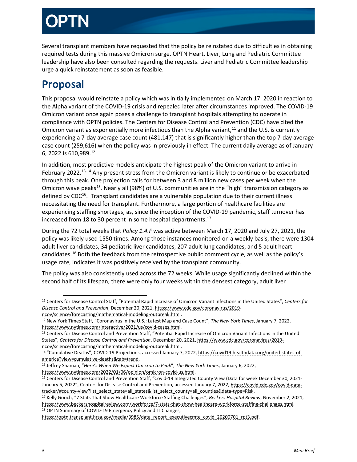Several transplant members have requested that the policy be reinstated due to difficulties in obtaining required tests during this massive Omicron surge. OPTN Heart, Liver, Lung and Pediatric Committee leadership have also been consulted regarding the requests. Liver and Pediatric Committee leadership urge a quick reinstatement as soon as feasible.

## <span id="page-3-0"></span>**Proposal**

This proposal would reinstate a policy which was initially implemented on March 17, 2020 in reaction to the Alpha variant of the COVID-19 crisis and repealed later after circumstances improved. The COVID-19 Omicron variant once again poses a challenge to transplant hospitals attempting to operate in compliance with OPTN policies. The Centers for Disease Control and Prevention (CDC) have cited the Omicron variant as exponentially more infectious than the Alpha variant,<sup>[11](#page-3-1)</sup> and the U.S. is currently experiencing a 7-day average case count (481,147) that is significantly higher than the top 7-day average case count (259,616) when the policy was in previously in effect. The current daily average as of January 6, 2022 is 610,989. [12](#page-3-2)

In addition, most predictive models anticipate the highest peak of the Omicron variant to arrive in February 2022.<sup>[13](#page-3-3),[14](#page-3-4)</sup> Any present stress from the Omicron variant is likely to continue or be exacerbated through this peak. One projection calls for between 3 and 8 million new cases per week when the Omicron wave peaks[15.](#page-3-5) Nearly all (98%) of U.S. communities are in the "high" transmission category as defined by  $CDC<sup>16</sup>$ . Transplant candidates are a vulnerable population due to their current illness necessitating the need for transplant. Furthermore, a large portion of healthcare facilities are experiencing staffing shortages, as, since the inception of the COVID-19 pandemic, staff turnover has increased from 18 to 30 percent in some hospital departments. [17](#page-3-7)

During the 72 total weeks that *Policy 1.4.F* was active between March 17, 2020 and July 27, 2021, the policy was likely used 1550 times. Among those instances monitored on a weekly basis, there were 1304 adult liver candidates, 34 pediatric liver candidates, 207 adult lung candidates, and 5 adult heart candidates.<sup>[18](#page-3-8)</sup> Both the feedback from the retrospective public comment cycle, as well as the policy's usage rate, indicates it was positively received by the transplant community.

The policy was also consistently used across the 72 weeks. While usage significantly declined within the second half of its lifespan, there were only four weeks within the densest category, adult liver

<span id="page-3-1"></span>j <sup>11</sup> Centers for Disease Control Staff, "Potential Rapid Increase of Omicron Variant Infections in the United States", *Centers for Disease Control and Prevention*, December 20, 2021, [https://www.cdc.gov/coronavirus/2019](https://www.cdc.gov/coronavirus/2019-ncov/science/forecasting/mathematical-modeling-outbreak.html) [ncov/science/forecasting/mathematical-modeling-outbreak.html.](https://www.cdc.gov/coronavirus/2019-ncov/science/forecasting/mathematical-modeling-outbreak.html)

<span id="page-3-2"></span><sup>12</sup> New York Times Staff, "Coronavirus in the U.S.: Latest Map and Case Count", *The New York Times*, January 7, 2022, [https://www.nytimes.com/interactive/2021/us/covid-cases.html.](https://www.nytimes.com/interactive/2021/us/covid-cases.html)

<span id="page-3-3"></span><sup>13</sup> Centers for Disease Control and Prevention Staff, "Potential Rapid Increase of Omicron Variant Infections in the United States", *Centers for Disease Control and Prevention*, December 20, 2021[, https://www.cdc.gov/coronavirus/2019](https://www.cdc.gov/coronavirus/2019-ncov/science/forecasting/mathematical-modeling-outbreak.html) [ncov/science/forecasting/mathematical-modeling-outbreak.html.](https://www.cdc.gov/coronavirus/2019-ncov/science/forecasting/mathematical-modeling-outbreak.html)

<span id="page-3-4"></span><sup>14 &</sup>quot;Cumulative Deaths", COVID-19 Projections, accessed January 7, 2022[, https://covid19.healthdata.org/united-states-of](https://covid19.healthdata.org/united-states-of-america?view=cumulative-deaths&tab=trend)[america?view=cumulative-deaths&tab=trend.](https://covid19.healthdata.org/united-states-of-america?view=cumulative-deaths&tab=trend)

<span id="page-3-5"></span><sup>15</sup> Jeffrey Shaman, "*Here's When We Expect Omicron to Peak*", *The New York Times*, January 6, 2022, [https://www.nytimes.com/2022/01/06/opinion/omicron-covid-us.html.](https://www.nytimes.com/2022/01/06/opinion/omicron-covid-us.html)

<span id="page-3-6"></span><sup>&</sup>lt;sup>16</sup> Centers for Disease Control and Prevention Staff, "Covid-19 Integrated County View (Data for week December 30, 2021January 5, 2022", Centers for Disease Control and Prevention, accessed January 7, 2022, [https://covid.cdc.gov/covid-data](https://covid.cdc.gov/covid-data-tracker/#county-view?list_select_state=all_states&list_select_county=all_counties&data-type=Risk)[tracker/#county-view?list\\_select\\_state=all\\_states&list\\_select\\_county=all\\_counties&data-type=Risk.](https://covid.cdc.gov/covid-data-tracker/#county-view?list_select_state=all_states&list_select_county=all_counties&data-type=Risk)

<span id="page-3-7"></span><sup>17</sup> Kelly Gooch, "7 Stats That Show Healthcare Workforce Staffing Challenges", *Beckers Hospital Review*, November 2, 2021, [https://www.beckershospitalreview.com/workforce/7-stats-that-show-healthcare-workforce-staffing-challenges.html.](https://www.beckershospitalreview.com/workforce/7-stats-that-show-healthcare-workforce-staffing-challenges.html) <sup>18</sup> OPTN Summary of COVID-19 Emergency Policy and IT Changes,

<span id="page-3-8"></span>[https://optn.transplant.hrsa.gov/media/3985/data\\_report\\_executivecmte\\_covid\\_20200701\\_rpt3.pdf.](https://optn.transplant.hrsa.gov/media/3985/data_report_executivecmte_covid_20200701_rpt3.pdf)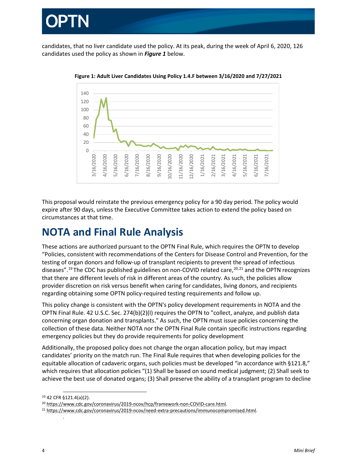

candidates, that no liver candidate used the policy. At its peak, during the week of April 6, 2020, 126 candidates used the policy as shown in *Figure 1* below.



**Figure 1: Adult Liver Candidates Using Policy 1.4.F between 3/16/2020 and 7/27/2021**

This proposal would reinstate the previous emergency policy for a 90 day period. The policy would expire after 90 days, unless the Executive Committee takes action to extend the policy based on circumstances at that time.

## <span id="page-4-0"></span>**NOTA and Final Rule Analysis**

These actions are authorized pursuant to the OPTN Final Rule, which requires the OPTN to develop "Policies, consistent with recommendations of the Centers for Disease Control and Prevention, for the testing of organ donors and follow-up of transplant recipients to prevent the spread of infectious diseases".<sup>[19](#page-4-1)</sup> The CDC has published guidelines on non-COVID related care,  $^{20,21}$  $^{20,21}$  $^{20,21}$  $^{20,21}$  $^{20,21}$  and the OPTN recognizes that there are different levels of risk in different areas of the country. As such, the policies allow provider discretion on risk versus benefit when caring for candidates, living donors, and recipients regarding obtaining some OPTN policy-required testing requirements and follow up.

This policy change is consistent with the OPTN's policy development requirements in NOTA and the OPTN Final Rule. 42 U.S.C. Sec. 274(b)(2)(I) requires the OPTN to "collect, analyze, and publish data concerning organ donation and transplants." As such, the OPTN must issue policies concerning the collection of these data. Neither NOTA nor the OPTN Final Rule contain specific instructions regarding emergency policies but they do provide requirements for policy development

Additionally, the proposed policy does not change the organ allocation policy, but may impact candidates' priority on the match run. The Final Rule requires that when developing policies for the equitable allocation of cadaveric organs, such policies must be developed "in accordance with §121.8," which requires that allocation policies "(1) Shall be based on sound medical judgment; (2) Shall seek to achieve the best use of donated organs; (3) Shall preserve the ability of a transplant program to decline

.

<sup>-</sup><sup>19</sup> 42 CFR §121.4(a)(2).

<span id="page-4-2"></span><span id="page-4-1"></span><sup>&</sup>lt;sup>20</sup> [https://www.cdc.gov/coronavirus/2019-ncov/hcp/framework-non-COVID-care.html.](https://www.cdc.gov/coronavirus/2019-ncov/hcp/framework-non-COVID-care.html)

<span id="page-4-3"></span><sup>21</sup> [https://www.cdc.gov/coronavirus/2019-ncov/need-extra-precautions/immunocompromised.html.](https://www.cdc.gov/coronavirus/2019-ncov/need-extra-precautions/immunocompromised.html)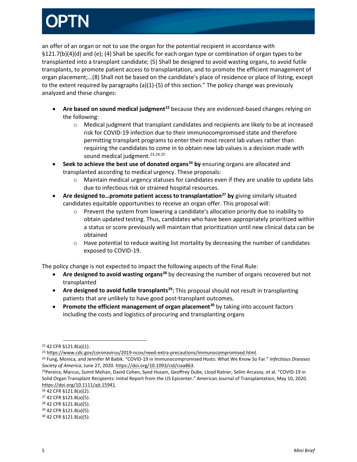an offer of an organ or not to use the organ for the potential recipient in accordance with §121.7(b)(4)(d) and (e); (4) Shall be specific for each organ type or combination of organ types to be transplanted into a transplant candidate; (5) Shall be designed to avoid wasting organs, to avoid futile transplants, to promote patient access to transplantation, and to promote the efficient management of organ placement;…(8) Shall not be based on the candidate's place of residence or place of listing, except to the extent required by paragraphs (a)(1)-(5) of this section." The policy change was previously analyzed and these changes:

- **Are based on sound medical judgment[22](#page-5-0)** because they are evidenced-based changes relying on the following:
	- o Medical judgment that transplant candidates and recipients are likely to be at increased risk for COVID-19 infection due to their immunocompromised state and therefore permitting transplant programs to enter their most recent lab values rather than requiring the candidates to come in to obtain new lab values is a decision made with sound medical judgment.<sup>[23,](#page-5-1)[24,](#page-5-2)[25](#page-5-3)</sup>
- **Seek to achieve the best use of donated organs[26](#page-5-4) by** ensuring organs are allocated and transplanted according to medical urgency. These proposals:
	- $\circ$  Maintain medical urgency statuses for candidates even if they are unable to update labs due to infectious risk or strained hospital resources.
- **Are designed to…promote patient access to transplantation[27](#page-5-5) by** giving similarly situated candidates equitable opportunities to receive an organ offer. This proposal will:
	- $\circ$  Prevent the system from lowering a candidate's allocation priority due to inability to obtain updated testing. Thus, candidates who have been appropriately prioritized within a status or score previously will maintain that prioritization until new clinical data can be obtained
	- $\circ$  Have potential to reduce waiting list mortality by decreasing the number of candidates exposed to COVID-19.

The policy change is not expected to impact the following aspects of the Final Rule:

- **Are designed to avoid wasting organs[28](#page-5-6)** by decreasing the number of organs recovered but not transplanted
- **Are designed to avoid futile transplants[29:](#page-5-7)** This proposal should not result in transplanting patients that are unlikely to have good post-transplant outcomes.
- **Promote the efficient management of organ placement[30](#page-5-8)** by taking into account factors including the costs and logistics of procuring and transplanting organs

<span id="page-5-0"></span>j <sup>22</sup> 42 CFR §121.8(a)(1).

<span id="page-5-1"></span><sup>&</sup>lt;sup>23</sup> [https://www.cdc.gov/coronavirus/2019-ncov/need-extra-precautions/immunocompromised.html.](https://www.cdc.gov/coronavirus/2019-ncov/need-extra-precautions/immunocompromised.html)

<span id="page-5-2"></span><sup>24</sup> Fung, Monica, and Jennifer M Babik. "COVID-19 in Immunocompromised Hosts: What We Know So Far." *Infectious Diseases*  Society of America, June 27, 2020. https://doi.org/10.1093/cid/ciaa863.<br><sup>25</sup>Pereira, Marcus, Sumit Mohan, David Cohen, Syed Husain, Geoffrey Dube, Lloyd Ratner, Selim Arcasoy, et al. "COVID-19 in

<span id="page-5-3"></span>Solid Organ Transplant Recipients: Initial Report from the US Epicenter." American Journal of Transplantation, May 10, 2020. [https://doi.org/10.1111/ajt.15941.](https://doi.org/10.1111/ajt.15941)

<span id="page-5-4"></span><sup>26</sup> 42 CFR §121.8(a)(2).

<span id="page-5-5"></span><sup>27</sup> 42 CFR §121.8(a)(5).

<span id="page-5-6"></span><sup>28</sup> 42 CFR §121.8(a)(5).

<span id="page-5-7"></span><sup>29</sup> 42 CFR §121.8(a)(5).

<span id="page-5-8"></span><sup>30</sup> 42 CFR §121.8(a)(5).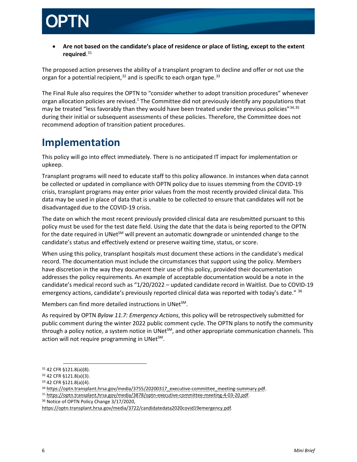

• **Are not based on the candidate's place of residence or place of listing, except to the extent required**. [31](#page-6-1)

The proposed action preserves the ability of a transplant program to decline and offer or not use the organ for a potential recipient,  $32$  and is specific to each organ type.  $33$ 

The Final Rule also requires the OPTN to "consider whether to adopt transition procedures" whenever organ allocation policies are revised.1 The Committee did not previously identify any populations that may be treated "less favorably than they would have been treated under the previous policies"<sup>[34](#page-6-4),[35](#page-6-5)</sup> during their initial or subsequent assessments of these policies. Therefore, the Committee does not recommend adoption of transition patient procedures.

## <span id="page-6-0"></span>**Implementation**

This policy will go into effect immediately. There is no anticipated IT impact for implementation or upkeep.

Transplant programs will need to educate staff to this policy allowance. In instances when data cannot be collected or updated in compliance with OPTN policy due to issues stemming from the COVID-19 crisis, transplant programs may enter prior values from the most recently provided clinical data. This data may be used in place of data that is unable to be collected to ensure that candidates will not be disadvantaged due to the COVID-19 crisis.

The date on which the most recent previously provided clinical data are resubmitted pursuant to this policy must be used for the test date field. Using the date that the data is being reported to the OPTN for the date required in UNet<sup>SM</sup> will prevent an automatic downgrade or unintended change to the candidate's status and effectively extend or preserve waiting time, status, or score.

When using this policy, transplant hospitals must document these actions in the candidate's medical record. The documentation must include the circumstances that support using the policy. Members have discretion in the way they document their use of this policy, provided their documentation addresses the policy requirements. An example of acceptable documentation would be a note in the candidate's medical record such as "1/20/2022 – updated candidate record in Waitlist. Due to COVID-19 emergency actions, candidate's previously reported clinical data was reported with today's date." [36](#page-6-6)

Members can find more detailed instructions in UNet<sup>SM</sup>.

As required by OPTN *Bylaw 11.7: Emergency Actions*, this policy will be retrospectively submitted for public comment during the winter 2022 public comment cycle. The OPTN plans to notify the community through a policy notice, a system notice in UNet<sup>SM</sup>, and other appropriate communication channels. This action will not require programming in UNet $^{5M}$ .

<span id="page-6-5"></span><sup>35</sup> [https://optn.transplant.hrsa.gov/media/3878/optn-executive-committee-meeting-4-03-20.pdf.](https://optn.transplant.hrsa.gov/media/3878/optn-executive-committee-meeting-4-03-20.pdf)

<span id="page-6-6"></span><sup>36</sup> Notice of OPTN Policy Change 3/17/2020,

j <sup>31</sup> 42 CFR §121.8(a)(8).

<span id="page-6-2"></span><span id="page-6-1"></span><sup>32</sup> 42 CFR §121.8(a)(3).

<span id="page-6-3"></span><sup>33</sup> 42 CFR §121.8(a)(4).

<span id="page-6-4"></span><sup>34</sup> [https://optn.transplant.hrsa.gov/media/3755/20200317\\_executive-committee\\_meeting-summary.pdf.](https://optn.transplant.hrsa.gov/media/3755/20200317_executive-committee_meeting-summary.pdf)

[https://optn.transplant.hrsa.gov/media/3722/candidatedata2020covid19emergency.pdf.](https://optn.transplant.hrsa.gov/media/3722/candidatedata2020covid19emergency.pdf)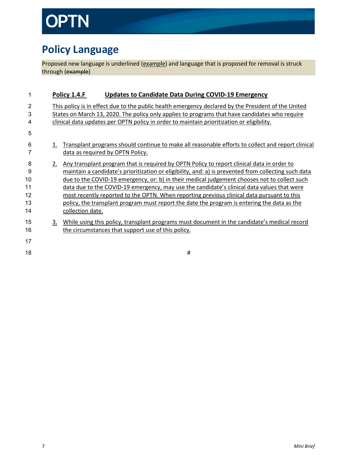# TN

## <span id="page-7-0"></span>**Policy Language**

Proposed new language is underlined (example) and language that is proposed for removal is struck through (example)

| 1                                    |    | Policy 1.4.F<br><b>Updates to Candidate Data During COVID-19 Emergency</b>                                                                                                                                                                                                                                                                                                                                                                                                                                                                                                                                        |
|--------------------------------------|----|-------------------------------------------------------------------------------------------------------------------------------------------------------------------------------------------------------------------------------------------------------------------------------------------------------------------------------------------------------------------------------------------------------------------------------------------------------------------------------------------------------------------------------------------------------------------------------------------------------------------|
| $\overline{c}$<br>3<br>4             |    | This policy is in effect due to the public health emergency declared by the President of the United<br>States on March 13, 2020. The policy only applies to programs that have candidates who require<br>clinical data updates per OPTN policy in order to maintain prioritization or eligibility.                                                                                                                                                                                                                                                                                                                |
| 5<br>6<br>7                          | 1. | Transplant programs should continue to make all reasonable efforts to collect and report clinical<br>data as required by OPTN Policy.                                                                                                                                                                                                                                                                                                                                                                                                                                                                             |
| 8<br>9<br>10<br>11<br>12<br>13<br>14 | 2. | Any transplant program that is required by OPTN Policy to report clinical data in order to<br>maintain a candidate's prioritization or eligibility, and: a) is prevented from collecting such data<br>due to the COVID-19 emergency, or: b) in their medical judgement chooses not to collect such<br>data due to the COVID-19 emergency, may use the candidate's clinical data values that were<br>most recently reported to the OPTN. When reporting previous clinical data pursuant to this<br>policy, the transplant program must report the date the program is entering the data as the<br>collection date. |
| 15<br>16                             | 3. | While using this policy, transplant programs must document in the candidate's medical record<br>the circumstances that support use of this policy.                                                                                                                                                                                                                                                                                                                                                                                                                                                                |
| 17<br>18                             |    | #                                                                                                                                                                                                                                                                                                                                                                                                                                                                                                                                                                                                                 |
|                                      |    |                                                                                                                                                                                                                                                                                                                                                                                                                                                                                                                                                                                                                   |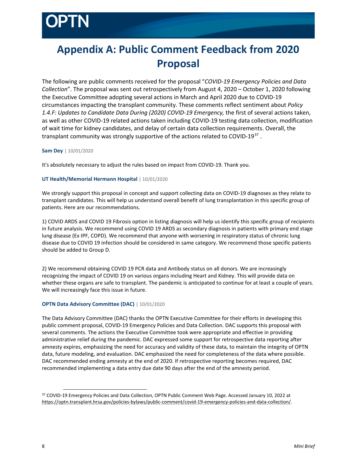## <span id="page-8-0"></span>**Appendix A: Public Comment Feedback from 2020 Proposal**

The following are public comments received for the proposal "*COVID-19 Emergency Policies and Data Collection*". The proposal was sent out retrospectively from August 4, 2020 – October 1, 2020 following the Executive Committee adopting several actions in March and April 2020 due to COVID-19 circumstances impacting the transplant community. These comments reflect sentiment about *Policy 1.4.F: Updates to Candidate Data During (2020) COVID-19 Emergency,* the first of several actions taken, as well as other COVID-19 related actions taken including COVID-19 testing data collection, modification of wait time for kidney candidates, and delay of certain data collection requirements. Overall, the transplant community was strongly supportive of the actions related to COVID-19<sup>[37](#page-8-1)</sup>.

## **Sam Dey** | 10/01/2020

It's absolutely necessary to adjust the rules based on impact from COVID-19. Thank you.

## **UT Health/Memorial Hermann Hospital** | 10/01/2020

We strongly support this proposal in concept and support collecting data on COVID-19 diagnoses as they relate to transplant candidates. This will help us understand overall benefit of lung transplantation in this specific group of patients. Here are our recommendations.

1) COVID ARDS and COVID 19 Fibrosis option in listing diagnosis will help us identify this specific group of recipients in future analysis. We recommend using COVID 19 ARDS as secondary diagnosis in patients with primary end stage lung disease (Ex IPF, COPD). We recommend that anyone with worsening in respiratory status of chronic lung disease due to COVID 19 infection should be considered in same category. We recommend those specific patients should be added to Group D.

2) We recommend obtaining COVID 19 PCR data and Antibody status on all donors. We are increasingly recognizing the impact of COVID 19 on various organs including Heart and Kidney. This will provide data on whether these organs are safe to transplant. The pandemic is anticipated to continue for at least a couple of years. We will increasingly face this issue in future.

## **OPTN Data Advisory Committee (DAC)** | 10/01/2020

The Data Advisory Committee (DAC) thanks the OPTN Executive Committee for their efforts in developing this public comment proposal, COVID-19 Emergency Policies and Data Collection. DAC supports this proposal with several comments. The actions the Executive Committee took were appropriate and effective in providing administrative relief during the pandemic. DAC expressed some support for retrospective data reporting after amnesty expires, emphasizing the need for accuracy and validity of these data, to maintain the integrity of OPTN data, future modeling, and evaluation. DAC emphasized the need for completeness of the data where possible. DAC recommended ending amnesty at the end of 2020. If retrospective reporting becomes required, DAC recommended implementing a data entry due date 90 days after the end of the amnesty period.

-

<span id="page-8-1"></span><sup>37</sup> COVID-19 Emergency Policies and Data Collection, OPTN Public Comment Web Page. Accessed January 10, 2022 at [https://optn.transplant.hrsa.gov/policies-bylaws/public-comment/covid-19-emergency-policies-and-data-collection/.](https://optn.transplant.hrsa.gov/policies-bylaws/public-comment/covid-19-emergency-policies-and-data-collection/)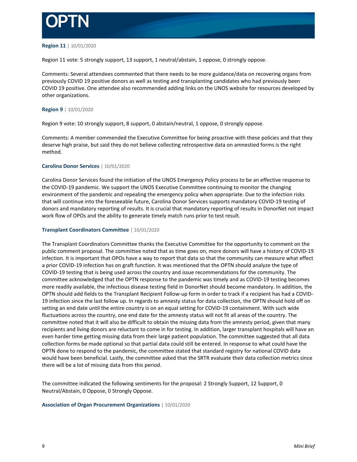

### **Region 11** | 10/01/2020

Region 11 vote: 5 strongly support, 13 support, 1 neutral/abstain, 1 oppose, 0 strongly oppose.

Comments: Several attendees commented that there needs to be more guidance/data on recovering organs from previously COVID 19 positive donors as well as testing and transplanting candidates who had previously been COVID 19 positive. One attendee also recommended adding links on the UNOS website for resources developed by other organizations.

## **Region 9** | 10/01/2020

Region 9 vote: 10 strongly support, 8 support, 0 abstain/neutral, 1 oppose, 0 strongly oppose.

Comments: A member commended the Executive Committee for being proactive with these policies and that they deserve high praise, but said they do not believe collecting retrospective data on amnestied forms is the right method.

### **Carolina Donor Services** | 10/01/2020

Carolina Donor Services found the initiation of the UNOS Emergency Policy process to be an effective response to the COVID-19 pandemic. We support the UNOS Executive Committee continuing to monitor the changing environment of the pandemic and repealing the emergency policy when appropriate. Due to the infection risks that will continue into the foreseeable future, Carolina Donor Services supports mandatory COVID-19 testing of donors and mandatory reporting of results. It is crucial that mandatory reporting of results in DonorNet not impact work flow of OPOs and the ability to generate timely match runs prior to test result.

### **Transplant Coordinators Committee** | 10/01/2020

The Transplant Coordinators Committee thanks the Executive Committee for the opportunity to comment on the public comment proposal. The committee noted that as time goes on, more donors will have a history of COVID-19 infection. It is important that OPOs have a way to report that data so that the community can measure what effect a prior COVID-19 infection has on graft function. It was mentioned that the OPTN should analyze the type of COVID-19 testing that is being used across the country and issue recommendations for the community. The committee acknowledged that the OPTN response to the pandemic was timely and as COVID-19 testing becomes more readily available, the infectious disease testing field in DonorNet should become mandatory. In addition, the OPTN should add fields to the Transplant Recipient Follow-up form in order to track if a recipient has had a COVID-19 infection since the last follow up. In regards to amnesty status for data collection, the OPTN should hold off on setting an end date until the entire country is on an equal setting for COVID-19 containment. With such wide fluctuations across the country, one end date for the amnesty status will not fit all areas of the country. The committee noted that it will also be difficult to obtain the missing data from the amnesty period, given that many recipients and living donors are reluctant to come in for testing. In addition, larger transplant hospitals will have an even harder time getting missing data from their large patient population. The committee suggested that all data collection forms be made optional so that partial data could still be entered. In response to what could have the OPTN done to respond to the pandemic, the committee stated that standard registry for national COVID data would have been beneficial. Lastly, the committee asked that the SRTR evaluate their data collection metrics since there will be a lot of missing data from this period.

The committee indicated the following sentiments for the proposal: 2 Strongly Support, 12 Support, 0 Neutral/Abstain, 0 Oppose, 0 Strongly Oppose.

### **Association of Organ Procurement Organizations** | 10/01/2020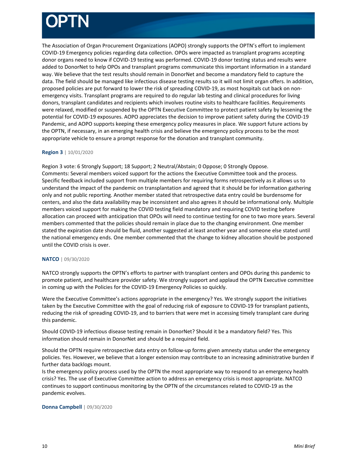The Association of Organ Procurement Organizations (AOPO) strongly supports the OPTN's effort to implement COVID-19 Emergency policies regarding data collection. OPOs were impacted as transplant programs accepting donor organs need to know if COVID-19 testing was performed. COVID-19 donor testing status and results were added to DonorNet to help OPOs and transplant programs communicate this important information in a standard way. We believe that the test results should remain in DonorNet and become a mandatory field to capture the data. The field should be managed like infectious disease testing results so it will not limit organ offers. In addition, proposed policies are put forward to lower the risk of spreading COVID-19, as most hospitals cut back on nonemergency visits. Transplant programs are required to do regular lab testing and clinical procedures for living donors, transplant candidates and recipients which involves routine visits to healthcare facilities. Requirements were relaxed, modified or suspended by the OPTN Executive Committee to protect patient safety by lessening the potential for COVID-19 exposures. AOPO appreciates the decision to improve patient safety during the COVID-19 Pandemic, and AOPO supports keeping these emergency policy measures in place. We support future actions by the OPTN, if necessary, in an emerging health crisis and believe the emergency policy process to be the most appropriate vehicle to ensure a prompt response for the donation and transplant community.

## **Region 3** | 10/01/2020

Region 3 vote: 6 Strongly Support; 18 Support; 2 Neutral/Abstain; 0 Oppose; 0 Strongly Oppose. Comments: Several members voiced support for the actions the Executive Committee took and the process. Specific feedback included support from multiple members for requiring forms retrospectively as it allows us to understand the impact of the pandemic on transplantation and agreed that it should be for information gathering only and not public reporting. Another member stated that retrospective data entry could be burdensome for centers, and also the data availability may be inconsistent and also agrees it should be informational only. Multiple members voiced support for making the COVID testing field mandatory and requiring COVID testing before allocation can proceed with anticipation that OPOs will need to continue testing for one to two more years. Several members commented that the policies should remain in place due to the changing environment. One member stated the expiration date should be fluid, another suggested at least another year and someone else stated until the national emergency ends. One member commented that the change to kidney allocation should be postponed until the COVID crisis is over.

## **NATCO** | 09/30/2020

NATCO strongly supports the OPTN's efforts to partner with transplant centers and OPOs during this pandemic to promote patient, and healthcare provider safety. We strongly support and applaud the OPTN Executive committee in coming up with the Policies for the COVID-19 Emergency Policies so quickly.

Were the Executive Committee's actions appropriate in the emergency? Yes. We strongly support the initiatives taken by the Executive Committee with the goal of reducing risk of exposure to COVID-19 for transplant patients, reducing the risk of spreading COVID-19, and to barriers that were met in accessing timely transplant care during this pandemic.

Should COVID-19 infectious disease testing remain in DonorNet? Should it be a mandatory field? Yes. This information should remain in DonorNet and should be a required field.

Should the OPTN require retrospective data entry on follow-up forms given amnesty status under the emergency policies. Yes. However, we believe that a longer extension may contribute to an increasing administrative burden if further data backlogs mount.

Is the emergency policy process used by the OPTN the most appropriate way to respond to an emergency health crisis? Yes. The use of Executive Committee action to address an emergency crisis is most appropriate. NATCO continues to support continuous monitoring by the OPTN of the circumstances related to COVID-19 as the pandemic evolves.

## **Donna Campbell** | 09/30/2020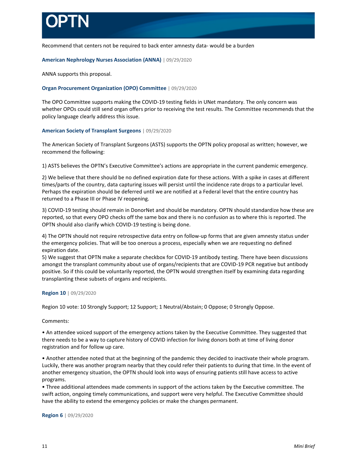

Recommend that centers not be required to back enter amnesty data- would be a burden

**American Nephrology Nurses Association (ANNA)** | 09/29/2020

ANNA supports this proposal.

## **Organ Procurement Organization (OPO) Committee** | 09/29/2020

The OPO Committee supports making the COVID-19 testing fields in UNet mandatory. The only concern was whether OPOs could still send organ offers prior to receiving the test results. The Committee recommends that the policy language clearly address this issue.

## **American Society of Transplant Surgeons** | 09/29/2020

The American Society of Transplant Surgeons (ASTS) supports the OPTN policy proposal as written; however, we recommend the following:

1) ASTS believes the OPTN's Executive Committee's actions are appropriate in the current pandemic emergency.

2) We believe that there should be no defined expiration date for these actions. With a spike in cases at different times/parts of the country, data capturing issues will persist until the incidence rate drops to a particular level. Perhaps the expiration should be deferred until we are notified at a Federal level that the entire country has returned to a Phase III or Phase IV reopening.

3) COVID-19 testing should remain in DonorNet and should be mandatory. OPTN should standardize how these are reported, so that every OPO checks off the same box and there is no confusion as to where this is reported. The OPTN should also clarify which COVID-19 testing is being done.

4) The OPTN should not require retrospective data entry on follow-up forms that are given amnesty status under the emergency policies. That will be too onerous a process, especially when we are requesting no defined expiration date.

5) We suggest that OPTN make a separate checkbox for COVID-19 antibody testing. There have been discussions amongst the transplant community about use of organs/recipients that are COVID-19 PCR negative but antibody positive. So if this could be voluntarily reported, the OPTN would strengthen itself by examining data regarding transplanting these subsets of organs and recipients.

## **Region 10** | 09/29/2020

Region 10 vote: 10 Strongly Support; 12 Support; 1 Neutral/Abstain; 0 Oppose; 0 Strongly Oppose.

Comments:

• An attendee voiced support of the emergency actions taken by the Executive Committee. They suggested that there needs to be a way to capture history of COVID infection for living donors both at time of living donor registration and for follow up care.

• Another attendee noted that at the beginning of the pandemic they decided to inactivate their whole program. Luckily, there was another program nearby that they could refer their patients to during that time. In the event of another emergency situation, the OPTN should look into ways of ensuring patients still have access to active programs.

• Three additional attendees made comments in support of the actions taken by the Executive committee. The swift action, ongoing timely communications, and support were very helpful. The Executive Committee should have the ability to extend the emergency policies or make the changes permanent.

**Region 6** | 09/29/2020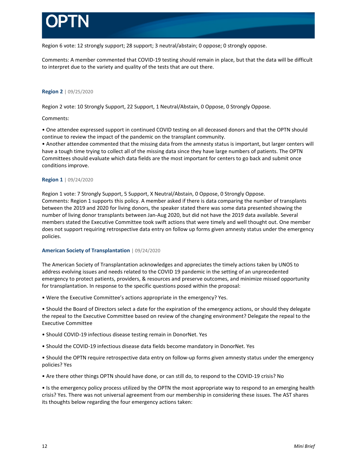

Region 6 vote: 12 strongly support; 28 support; 3 neutral/abstain; 0 oppose; 0 strongly oppose.

Comments: A member commented that COVID-19 testing should remain in place, but that the data will be difficult to interpret due to the variety and quality of the tests that are out there.

## **Region 2** | 09/25/2020

Region 2 vote: 10 Strongly Support, 22 Support, 1 Neutral/Abstain, 0 Oppose, 0 Strongly Oppose.

## Comments:

• One attendee expressed support in continued COVID testing on all deceased donors and that the OPTN should continue to review the impact of the pandemic on the transplant community.

• Another attendee commented that the missing data from the amnesty status is important, but larger centers will have a tough time trying to collect all of the missing data since they have large numbers of patients. The OPTN Committees should evaluate which data fields are the most important for centers to go back and submit once conditions improve.

## **Region 1** | 09/24/2020

Region 1 vote: 7 Strongly Support, 5 Support, X Neutral/Abstain, 0 Oppose, 0 Strongly Oppose. Comments: Region 1 supports this policy. A member asked if there is data comparing the number of transplants between the 2019 and 2020 for living donors, the speaker stated there was some data presented showing the number of living donor transplants between Jan-Aug 2020, but did not have the 2019 data available. Several members stated the Executive Committee took swift actions that were timely and well thought out. One member does not support requiring retrospective data entry on follow up forms given amnesty status under the emergency policies.

## **American Society of Transplantation** | 09/24/2020

The American Society of Transplantation acknowledges and appreciates the timely actions taken by UNOS to address evolving issues and needs related to the COVID 19 pandemic in the setting of an unprecedented emergency to protect patients, providers, & resources and preserve outcomes, and minimize missed opportunity for transplantation. In response to the specific questions posed within the proposal:

• Were the Executive Committee's actions appropriate in the emergency? Yes.

• Should the Board of Directors select a date for the expiration of the emergency actions, or should they delegate the repeal to the Executive Committee based on review of the changing environment? Delegate the repeal to the Executive Committee

- Should COVID-19 infectious disease testing remain in DonorNet. Yes
- Should the COVID-19 infectious disease data fields become mandatory in DonorNet. Yes

• Should the OPTN require retrospective data entry on follow-up forms given amnesty status under the emergency policies? Yes

• Are there other things OPTN should have done, or can still do, to respond to the COVID-19 crisis? No

• Is the emergency policy process utilized by the OPTN the most appropriate way to respond to an emerging health crisis? Yes. There was not universal agreement from our membership in considering these issues. The AST shares its thoughts below regarding the four emergency actions taken: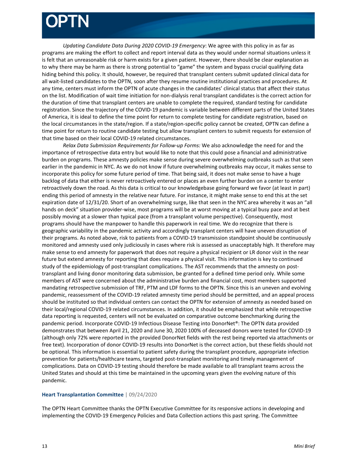*Updating Candidate Data During 2020 COVID-19 Emergency*: We agree with this policy in as far as programs are making the effort to collect and report interval data as they would under normal situations unless it is felt that an unreasonable risk or harm exists for a given patient. However, there should be clear explanation as to why there may be harm as there is strong potential to "game" the system and bypass crucial qualifying data hiding behind this policy. It should, however, be required that transplant centers submit updated clinical data for all wait-listed candidates to the OPTN, soon after they resume routine institutional practices and procedures. At any time, centers must inform the OPTN of acute changes in the candidates' clinical status that affect their status on the list. Modification of wait time initiation for non-dialysis renal transplant candidates is the correct action for the duration of time that transplant centers are unable to complete the required, standard testing for candidate registration. Since the trajectory of the COVID-19 pandemic is variable between different parts of the United States of America, it is ideal to define the time point for return to complete testing for candidate registration, based on the local circumstances in the state/region. If a state/region-specific policy cannot be created, OPTN can define a time point for return to routine candidate testing but allow transplant centers to submit requests for extension of that time based on their local COVID-19 related circumstances.

*Relax Data Submission Requirements for Follow-up Forms:* We also acknowledge the need for and the importance of retrospective data entry but would like to note that this could pose a financial and administrative burden on programs. These amnesty policies make sense during severe overwhelming outbreaks such as that seen earlier in the pandemic in NYC. As we do not know if future overwhelming outbreaks may occur, it makes sense to incorporate this policy for some future period of time. That being said, it does not make sense to have a huge backlog of data that either is never retroactively entered or places an even further burden on a center to enter retroactively down the road. As this data is critical to our knowledgebase going forward we favor (at least in part) ending this period of amnesty in the relative near future. For instance, it might make sense to end this at the set expiration date of 12/31/20. Short of an overwhelming surge, like that seen in the NYC area whereby it was an "all hands on deck" situation provider-wise, most programs will be at worst moving at a typical busy pace and at best possibly moving at a slower than typical pace (from a transplant volume perspective). Consequently, most programs should have the manpower to handle this paperwork in real time. We do recognize that there is geographic variability in the pandemic activity and accordingly transplant centers will have uneven disruption of their programs. As noted above, risk to patients from a COVID-19 transmission standpoint should be continuously monitored and amnesty used only judiciously in cases where risk is assessed as unacceptably high. It therefore may make sense to end amnesty for paperwork that does not require a physical recipient or LR donor visit in the near future but extend amnesty for reporting that does require a physical visit. This information is key to continued study of the epidemiology of post-transplant complications. The AST recommends that the amnesty on posttransplant and living donor monitoring data submission, be granted for a defined time period only. While some members of AST were concerned about the administrative burden and financial cost, most members supported mandating retrospective submission of TRF, PTM and LDF forms to the OPTN. Since this is an uneven and evolving pandemic, reassessment of the COVID-19 related amnesty time period should be permitted, and an appeal process should be instituted so that individual centers can contact the OPTN for extension of amnesty as needed based on their local/regional COVID-19 related circumstances. In addition, it should be emphasized that while retrospective data reporting is requested, centers will not be evaluated on comparative outcome benchmarking during the pandemic period. Incorporate COVID-19 Infectious Disease Testing into DonorNet®: The OPTN data provided demonstrates that between April 21, 2020 and June 30, 2020 100% of deceased donors were tested for COVID-19 (although only 72% were reported in the provided DonorNet fields with the rest being reported via attachments or free text). Incorporation of donor COVID-19 results into DonorNet is the correct action, but these fields should not be optional. This information is essential to patient safety during the transplant procedure, appropriate infection prevention for patients/healthcare teams, targeted post-transplant monitoring and timely management of complications. Data on COVID-19 testing should therefore be made available to all transplant teams across the United States and should at this time be maintained in the upcoming years given the evolving nature of this pandemic.

## **Heart Transplantation Committee** | 09/24/2020

The OPTN Heart Committee thanks the OPTN Executive Committee for its responsive actions in developing and implementing the COVID-19 Emergency Policies and Data Collection actions this past spring. The Committee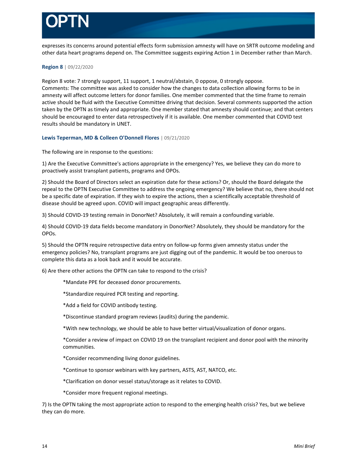

expresses its concerns around potential effects form submission amnesty will have on SRTR outcome modeling and other data heart programs depend on. The Committee suggests expiring Action 1 in December rather than March.

### **Region 8** | 09/22/2020

Region 8 vote: 7 strongly support, 11 support, 1 neutral/abstain, 0 oppose, 0 strongly oppose. Comments: The committee was asked to consider how the changes to data collection allowing forms to be in amnesty will affect outcome letters for donor families. One member commented that the time frame to remain active should be fluid with the Executive Committee driving that decision. Several comments supported the action taken by the OPTN as timely and appropriate. One member stated that amnesty should continue; and that centers should be encouraged to enter data retrospectively if it is available. One member commented that COVID test results should be mandatory in UNET.

**Lewis Teperman, MD & Colleen O'Donnell Flores** | 09/21/2020

The following are in response to the questions:

1) Are the Executive Committee's actions appropriate in the emergency? Yes, we believe they can do more to proactively assist transplant patients, programs and OPOs.

2) Should the Board of Directors select an expiration date for these actions? Or, should the Board delegate the repeal to the OPTN Executive Committee to address the ongoing emergency? We believe that no, there should not be a specific date of expiration. If they wish to expire the actions, then a scientifically acceptable threshold of disease should be agreed upon. COVID will impact geographic areas differently.

3) Should COVID-19 testing remain in DonorNet? Absolutely, it will remain a confounding variable.

4) Should COVID-19 data fields become mandatory in DonorNet? Absolutely, they should be mandatory for the OPOs.

5) Should the OPTN require retrospective data entry on follow-up forms given amnesty status under the emergency policies? No, transplant programs are just digging out of the pandemic. It would be too onerous to complete this data as a look back and it would be accurate.

6) Are there other actions the OPTN can take to respond to the crisis?

\*Mandate PPE for deceased donor procurements.

\*Standardize required PCR testing and reporting.

\*Add a field for COVID antibody testing.

\*Discontinue standard program reviews (audits) during the pandemic.

\*With new technology, we should be able to have better virtual/visualization of donor organs.

\*Consider a review of impact on COVID 19 on the transplant recipient and donor pool with the minority communities.

\*Consider recommending living donor guidelines.

\*Continue to sponsor webinars with key partners, ASTS, AST, NATCO, etc.

\*Clarification on donor vessel status/storage as it relates to COVID.

\*Consider more frequent regional meetings.

7) Is the OPTN taking the most appropriate action to respond to the emerging health crisis? Yes, but we believe they can do more.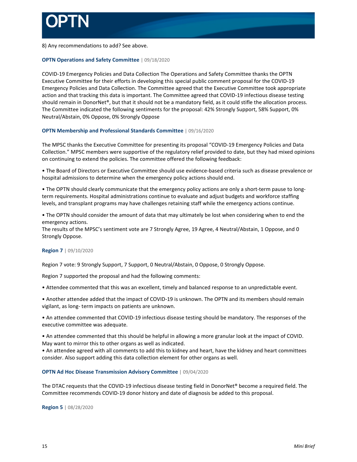

8) Any recommendations to add? See above.

## **OPTN Operations and Safety Committee** | 09/18/2020

COVID-19 Emergency Policies and Data Collection The Operations and Safety Committee thanks the OPTN Executive Committee for their efforts in developing this special public comment proposal for the COVID-19 Emergency Policies and Data Collection. The Committee agreed that the Executive Committee took appropriate action and that tracking this data is important. The Committee agreed that COVID-19 infectious disease testing should remain in DonorNet®, but that it should not be a mandatory field, as it could stifle the allocation process. The Committee indicated the following sentiments for the proposal: 42% Strongly Support, 58% Support, 0% Neutral/Abstain, 0% Oppose, 0% Strongly Oppose

## **OPTN Membership and Professional Standards Committee** | 09/16/2020

The MPSC thanks the Executive Committee for presenting its proposal "COVID-19 Emergency Policies and Data Collection." MPSC members were supportive of the regulatory relief provided to date, but they had mixed opinions on continuing to extend the policies. The committee offered the following feedback:

• The Board of Directors or Executive Committee should use evidence-based criteria such as disease prevalence or hospital admissions to determine when the emergency policy actions should end.

• The OPTN should clearly communicate that the emergency policy actions are only a short-term pause to longterm requirements. Hospital administrations continue to evaluate and adjust budgets and workforce staffing levels, and transplant programs may have challenges retaining staff while the emergency actions continue.

• The OPTN should consider the amount of data that may ultimately be lost when considering when to end the emergency actions.

The results of the MPSC's sentiment vote are 7 Strongly Agree, 19 Agree, 4 Neutral/Abstain, 1 Oppose, and 0 Strongly Oppose.

## **Region 7** | 09/10/2020

Region 7 vote: 9 Strongly Support, 7 Support, 0 Neutral/Abstain, 0 Oppose, 0 Strongly Oppose.

Region 7 supported the proposal and had the following comments:

• Attendee commented that this was an excellent, timely and balanced response to an unpredictable event.

• Another attendee added that the impact of COVID-19 is unknown. The OPTN and its members should remain vigilant, as long- term impacts on patients are unknown.

• An attendee commented that COVID-19 infectious disease testing should be mandatory. The responses of the executive committee was adequate.

• An attendee commented that this should be helpful in allowing a more granular look at the impact of COVID. May want to mirror this to other organs as well as indicated.

• An attendee agreed with all comments to add this to kidney and heart, have the kidney and heart committees consider. Also support adding this data collection element for other organs as well.

### **OPTN Ad Hoc Disease Transmission Advisory Committee** | 09/04/2020

The DTAC requests that the COVID-19 infectious disease testing field in DonorNet® become a required field. The Committee recommends COVID-19 donor history and date of diagnosis be added to this proposal.

**Region 5** | 08/28/2020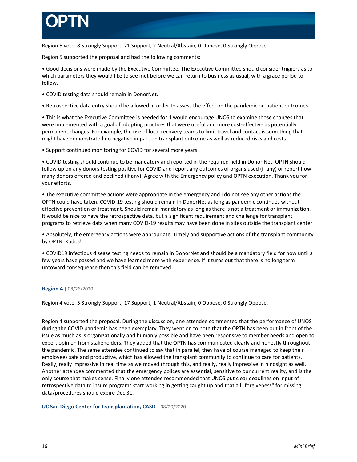Region 5 vote: 8 Strongly Support, 21 Support, 2 Neutral/Abstain, 0 Oppose, 0 Strongly Oppose.

Region 5 supported the proposal and had the following comments:

• Good decisions were made by the Executive Committee. The Executive Committee should consider triggers as to which parameters they would like to see met before we can return to business as usual, with a grace period to follow.

- COVID testing data should remain in DonorNet.
- Retrospective data entry should be allowed in order to assess the effect on the pandemic on patient outcomes.

• This is what the Executive Committee is needed for. I would encourage UNOS to examine those changes that were implemented with a goal of adopting practices that were useful and more cost-effective as potentially permanent changes. For example, the use of local recovery teams to limit travel and contact is something that might have demonstrated no negative impact on transplant outcome as well as reduced risks and costs.

• Support continued monitoring for COVID for several more years.

• COVID testing should continue to be mandatory and reported in the required field in Donor Net. OPTN should follow up on any donors testing positive for COVID and report any outcomes of organs used (if any) or report how many donors offered and declined (if any). Agree with the Emergency policy and OPTN execution. Thank you for your efforts.

• The executive committee actions were appropriate in the emergency and I do not see any other actions the OPTN could have taken. COVID-19 testing should remain in DonorNet as long as pandemic continues without effective prevention or treatment. Should remain mandatory as long as there is not a treatment or immunization. It would be nice to have the retrospective data, but a significant requirement and challenge for transplant programs to retrieve data when many COVID-19 results may have been done in sites outside the transplant center.

• Absolutely, the emergency actions were appropriate. Timely and supportive actions of the transplant community by OPTN. Kudos!

• COVID19 infectious disease testing needs to remain in DonorNet and should be a mandatory field for now until a few years have passed and we have learned more with experience. If it turns out that there is no long term untoward consequence then this field can be removed.

## **Region 4** | 08/26/2020

Region 4 vote: 5 Strongly Support, 17 Support, 1 Neutral/Abstain, 0 Oppose, 0 Strongly Oppose.

Region 4 supported the proposal. During the discussion, one attendee commented that the performance of UNOS during the COVID pandemic has been exemplary. They went on to note that the OPTN has been out in front of the issue as much as is organizationally and humanly possible and have been responsive to member needs and open to expert opinion from stakeholders. They added that the OPTN has communicated clearly and honestly throughout the pandemic. The same attendee continued to say that in parallel, they have of course managed to keep their employees safe and productive, which has allowed the transplant community to continue to care for patients. Really, really impressive in real time as we moved through this, and really, really impressive in hindsight as well. Another attendee commented that the emergency polices are essential, sensitive to our current reality, and is the only course that makes sense. Finally one attendee recommended that UNOS put clear deadlines on input of retrospective data to insure programs start working in getting caught up and that all "forgiveness" for missing data/procedures should expire Dec 31.

**UC San Diego Center for Transplantation, CASD** | 08/20/2020